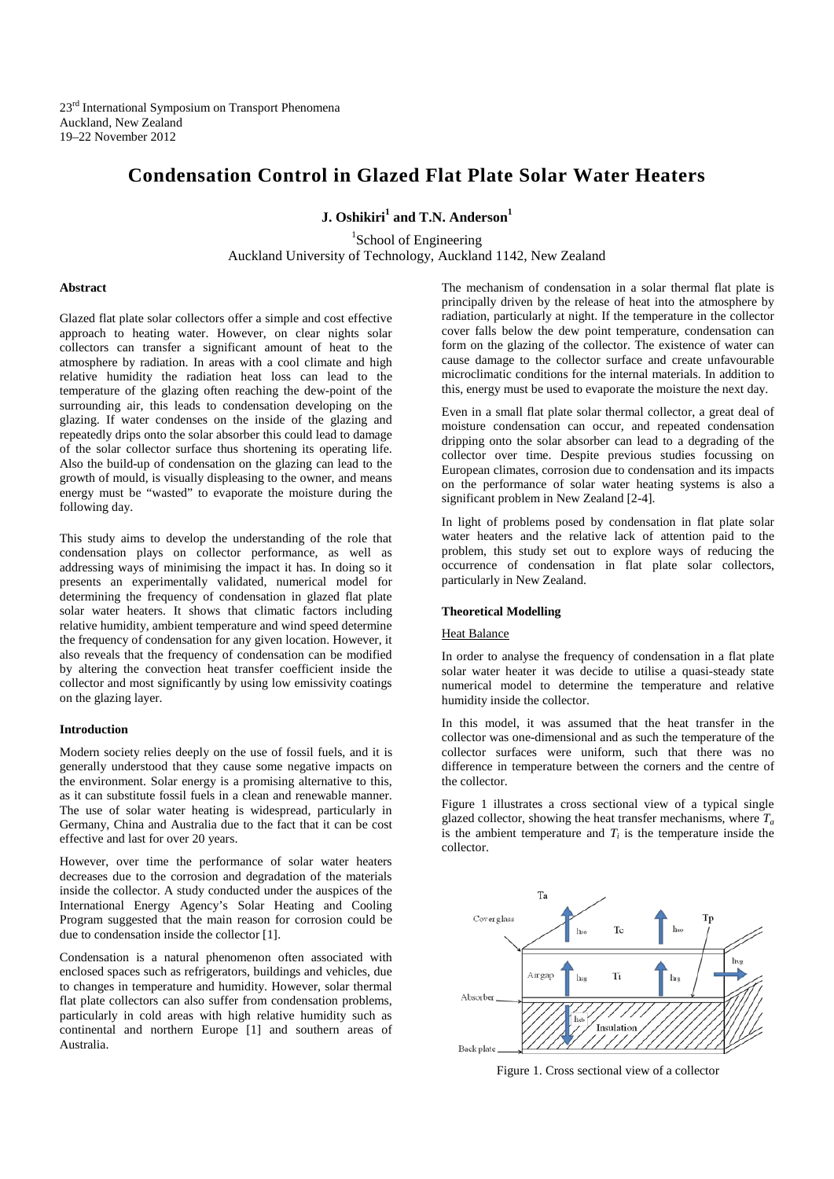23<sup>rd</sup> International Symposium on Transport Phenomena Auckland, New Zealand 19–22 November 2012

# **Condensation Control in Glazed Flat Plate Solar Water Heaters**

**J. Oshikiri<sup>1</sup> and T.N. Anderson<sup>1</sup>** 

<sup>1</sup>School of Engineering Auckland University of Technology, Auckland 1142, New Zealand

### **Abstract**

Glazed flat plate solar collectors offer a simple and cost effective approach to heating water. However, on clear nights solar collectors can transfer a significant amount of heat to the atmosphere by radiation. In areas with a cool climate and high relative humidity the radiation heat loss can lead to the temperature of the glazing often reaching the dew-point of the surrounding air, this leads to condensation developing on the glazing. If water condenses on the inside of the glazing and repeatedly drips onto the solar absorber this could lead to damage of the solar collector surface thus shortening its operating life. Also the build-up of condensation on the glazing can lead to the growth of mould, is visually displeasing to the owner, and means energy must be "wasted" to evaporate the moisture during the following day.

This study aims to develop the understanding of the role that condensation plays on collector performance, as well as addressing ways of minimising the impact it has. In doing so it presents an experimentally validated, numerical model for determining the frequency of condensation in glazed flat plate solar water heaters. It shows that climatic factors including relative humidity, ambient temperature and wind speed determine the frequency of condensation for any given location. However, it also reveals that the frequency of condensation can be modified by altering the convection heat transfer coefficient inside the collector and most significantly by using low emissivity coatings on the glazing layer.

#### **Introduction**

Modern society relies deeply on the use of fossil fuels, and it is generally understood that they cause some negative impacts on the environment. Solar energy is a promising alternative to this, as it can substitute fossil fuels in a clean and renewable manner. The use of solar water heating is widespread, particularly in Germany, China and Australia due to the fact that it can be cost effective and last for over 20 years.

However, over time the performance of solar water heaters decreases due to the corrosion and degradation of the materials inside the collector. A study conducted under the auspices of the International Energy Agency's Solar Heating and Cooling Program suggested that the main reason for corrosion could be due to condensation inside the collector [1].

Condensation is a natural phenomenon often associated with enclosed spaces such as refrigerators, buildings and vehicles, due to changes in temperature and humidity. However, solar thermal flat plate collectors can also suffer from condensation problems, particularly in cold areas with high relative humidity such as continental and northern Europe [1] and southern areas of Australia.

The mechanism of condensation in a solar thermal flat plate is principally driven by the release of heat into the atmosphere by radiation, particularly at night. If the temperature in the collector cover falls below the dew point temperature, condensation can form on the glazing of the collector. The existence of water can cause damage to the collector surface and create unfavourable microclimatic conditions for the internal materials. In addition to this, energy must be used to evaporate the moisture the next day.

Even in a small flat plate solar thermal collector, a great deal of moisture condensation can occur, and repeated condensation dripping onto the solar absorber can lead to a degrading of the collector over time. Despite previous studies focussing on European climates, corrosion due to condensation and its impacts on the performance of solar water heating systems is also a significant problem in New Zealand [2-4].

In light of problems posed by condensation in flat plate solar water heaters and the relative lack of attention paid to the problem, this study set out to explore ways of reducing the occurrence of condensation in flat plate solar collectors, particularly in New Zealand.

## **Theoretical Modelling**

## **Heat Balance**

In order to analyse the frequency of condensation in a flat plate solar water heater it was decide to utilise a quasi-steady state numerical model to determine the temperature and relative humidity inside the collector.

In this model, it was assumed that the heat transfer in the collector was one-dimensional and as such the temperature of the collector surfaces were uniform, such that there was no difference in temperature between the corners and the centre of the collector.

Figure 1 illustrates a cross sectional view of a typical single glazed collector, showing the heat transfer mechanisms, where  $T_a$ is the ambient temperature and  $T_i$  is the temperature inside the collector.



Figure 1. Cross sectional view of a collector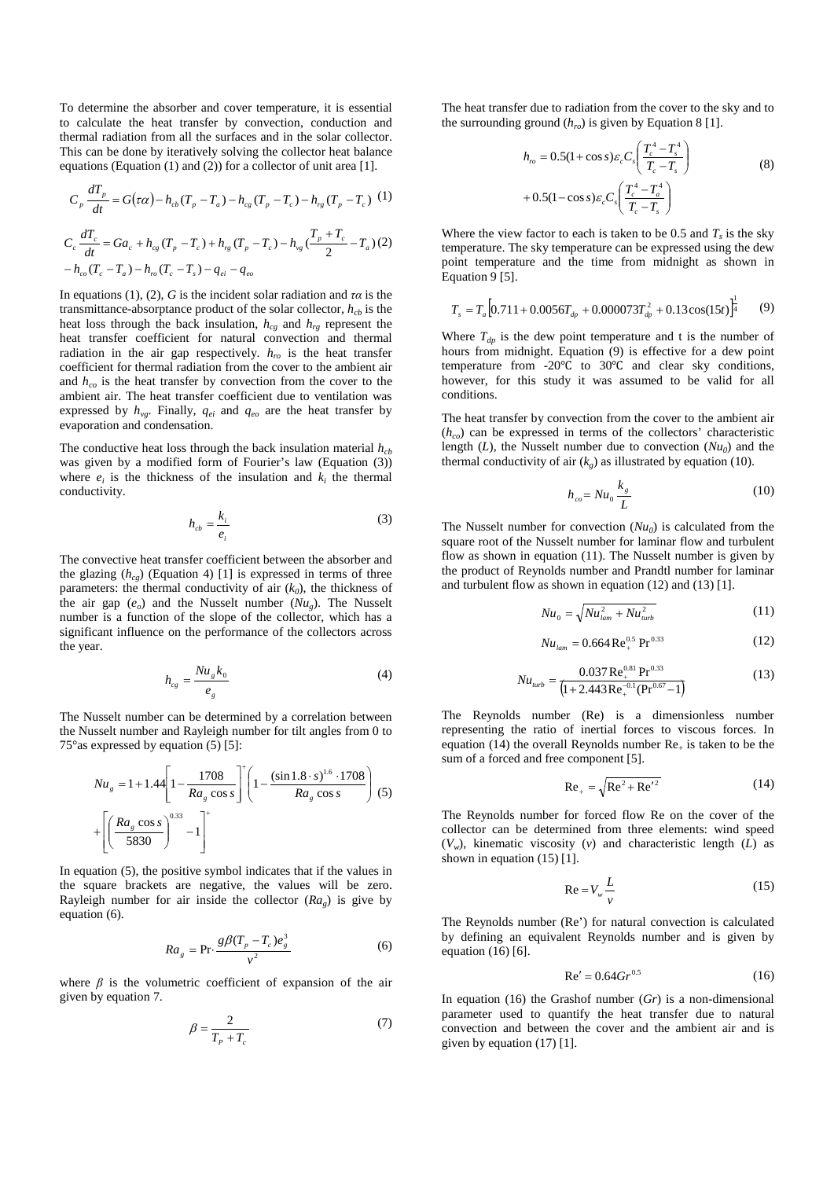To determine the absorber and cover temperature, it is essential to calculate the heat transfer by convection, conduction and thermal radiation from all the surfaces and in the solar collector. This can be done by iteratively solving the collector heat balance equations (Equation (1) and (2)) for a collector of unit area [1].

$$
C_p \frac{dT_p}{dt} = G(\tau \alpha) - h_{cb} (T_p - T_a) - h_{cg} (T_p - T_c) - h_{rg} (T_p - T_c) \tag{1}
$$
\n
$$
C_c \frac{dT_c}{dt} = G a_c + h_{cg} (T_p - T_c) + h_{rg} (T_p - T_c) - h_{vg} \left(\frac{T_p + T_c}{2} - T_a\right) (2)
$$
\n
$$
- h_{co} (T_c - T_a) - h_{ro} (T_c - T_s) - q_{ei} - q_{eo}
$$

In equations (1), (2), *G* is the incident solar radiation and  $\tau \alpha$  is the transmittance-absorptance product of the solar collector,  $h_{cb}$  is the heat loss through the back insulation,  $h_{cg}$  and  $h_{rg}$  represent the heat transfer coefficient for natural convection and thermal radiation in the air gap respectively.  $h_{r0}$  is the heat transfer coefficient for thermal radiation from the cover to the ambient air and  $h_{co}$  is the heat transfer by convection from the cover to the ambient air. The heat transfer coefficient due to ventilation was expressed by  $h_{vg}$ . Finally,  $q_{ei}$  and  $q_{eo}$  are the heat transfer by evaporation and condensation.

The conductive heat loss through the back insulation material  $h_{cb}$ was given by a modified form of Fourier's law (Equation (3)) where  $e_i$  is the thickness of the insulation and  $k_i$  the thermal conductivity.

$$
h_{cb} = \frac{k_i}{e_i} \tag{3}
$$

The convective heat transfer coefficient between the absorber and the glazing  $(h_{cg})$  (Equation 4) [1] is expressed in terms of three parameters: the thermal conductivity of air  $(k_0)$ , the thickness of the air gap  $(e_o)$  and the Nusselt number  $(Nu_g)$ . The Nusselt number is a function of the slope of the collector, which has a significant influence on the performance of the collectors across the year.

$$
h_{cg} = \frac{Nu_s k_0}{e_s} \tag{4}
$$

The Nusselt number can be determined by a correlation between the Nusselt number and Rayleigh number for tilt angles from 0 to 75°as expressed by equation (5) [5]:

$$
Nu_{g} = 1 + 1.44 \left[ 1 - \frac{1708}{Ra_{g} \cos s} \right]^{+} \left( 1 - \frac{(\sin 1.8 \cdot s)^{1.6} \cdot 1708}{Ra_{g} \cos s} \right) (5)
$$

$$
+ \left[ \left( \frac{Ra_{g} \cos s}{5830} \right)^{0.33} - 1 \right]^{+}
$$

In equation (5), the positive symbol indicates that if the values in the square brackets are negative, the values will be zero. Rayleigh number for air inside the collector  $(Ra<sub>g</sub>)$  is give by equation (6).

$$
Ra_{g} = \Pr \cdot \frac{g\beta(T_{p} - T_{c})e_{g}^{3}}{v^{2}}
$$
 (6)

where  $\beta$  is the volumetric coefficient of expansion of the air given by equation 7.

$$
\beta = \frac{2}{T_P + T_c} \tag{7}
$$

The heat transfer due to radiation from the cover to the sky and to the surrounding ground  $(h_{ro})$  is given by Equation 8 [1].

$$
h_{ro} = 0.5(1 + \cos s)\varepsilon_c C_s \left(\frac{T_c^4 - T_s^4}{T_c - T_s}\right)
$$
  
+ 0.5(1 - \cos s)\varepsilon\_c C\_s \left(\frac{T\_c^4 - T\_a^4}{T\_c - T\_s}\right) (8)

Where the view factor to each is taken to be 0.5 and  $T_s$  is the sky temperature. The sky temperature can be expressed using the dew point temperature and the time from midnight as shown in Equation 9 [5].

$$
T_s = T_a \left[ 0.711 + 0.0056 T_{dp} + 0.000073 T_{dp}^2 + 0.13 \cos(15t) \right]_4^1 \tag{9}
$$

Where  $T_{dp}$  is the dew point temperature and t is the number of hours from midnight. Equation (9) is effective for a dew point temperature from -20℃ to 30℃ and clear sky conditions, however, for this study it was assumed to be valid for all conditions.

The heat transfer by convection from the cover to the ambient air  $(h_{co})$  can be expressed in terms of the collectors' characteristic length  $(L)$ , the Nusselt number due to convection  $(Nu_0)$  and the thermal conductivity of air  $(k_g)$  as illustrated by equation (10).

$$
h_{co} = Nu_0 \frac{k_s}{L}
$$
 (10)

The Nusselt number for convection  $(Nu_0)$  is calculated from the square root of the Nusselt number for laminar flow and turbulent flow as shown in equation (11). The Nusselt number is given by the product of Reynolds number and Prandtl number for laminar and turbulent flow as shown in equation (12) and (13) [1].

$$
Nu_{0} = \sqrt{Nu_{lam}^{2} + Nu_{lurb}^{2}}
$$
 (11)

$$
Nu_{lam} = 0.664 \,\text{Re}^{0.5}_{+} \,\text{Pr}^{0.33} \tag{12}
$$

$$
Nu_{turb} = \frac{0.037 \,\text{Re}_{+}^{0.81} \,\text{Pr}^{0.33}}{\left(1 + 2.443 \,\text{Re}_{+}^{-0.1} (\text{Pr}^{0.67} - 1)\right)}
$$
(13)

The Reynolds number (Re) is a dimensionless number representing the ratio of inertial forces to viscous forces. In equation (14) the overall Reynolds number  $Re<sub>+</sub>$  is taken to be the sum of a forced and free component [5].

$$
Re_{+} = \sqrt{Re^{2} + Re'^{2}}
$$
 (14)

The Reynolds number for forced flow Re on the cover of the collector can be determined from three elements: wind speed  $(V_w)$ , kinematic viscosity  $(v)$  and characteristic length  $(L)$  as shown in equation (15) [1].

$$
\text{Re} = V_w \frac{L}{v} \tag{15}
$$

The Reynolds number (Re') for natural convection is calculated by defining an equivalent Reynolds number and is given by equation (16) [6].

$$
Re' = 0.64 Gr^{0.5}
$$
 (16)

In equation (16) the Grashof number (*Gr*) is a non-dimensional parameter used to quantify the heat transfer due to natural convection and between the cover and the ambient air and is given by equation (17) [1].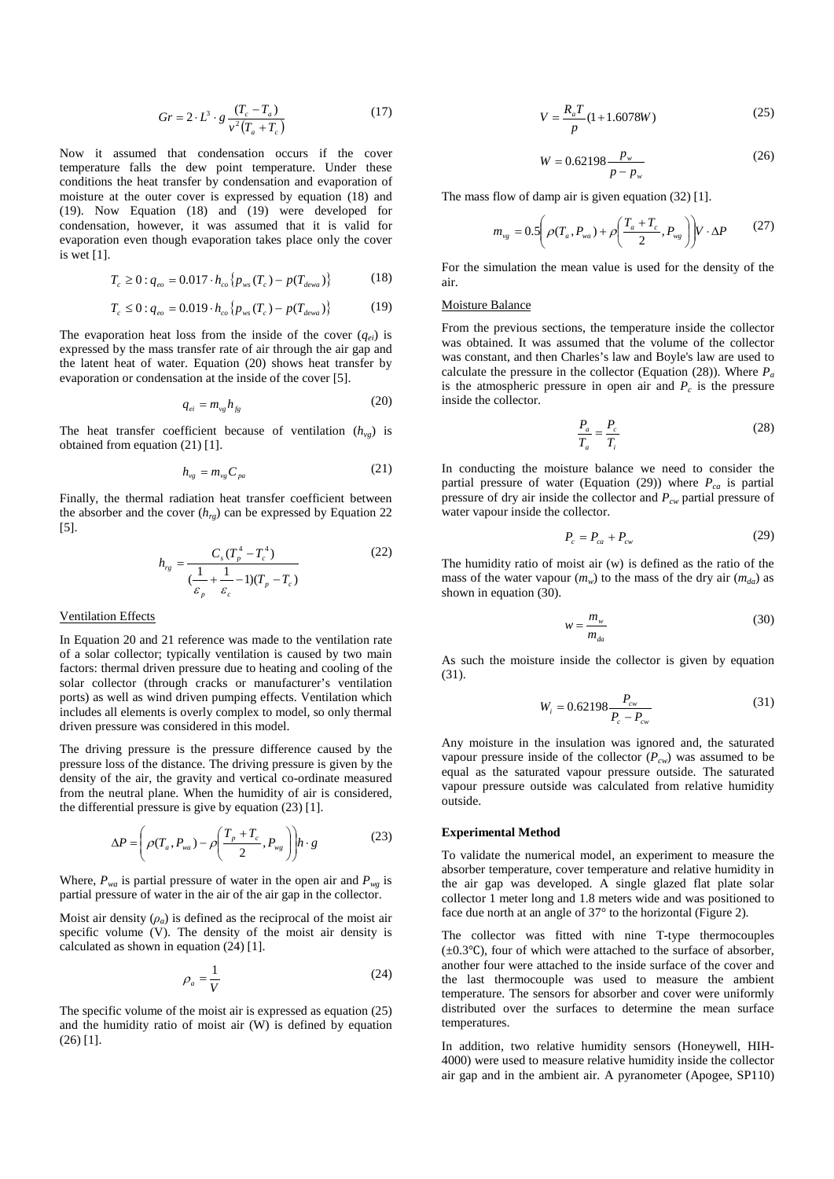$$
Gr = 2 \cdot L^3 \cdot g \frac{(T_c - T_a)}{v^2 (T_a + T_c)}
$$
(17)

Now it assumed that condensation occurs if the cover temperature falls the dew point temperature. Under these conditions the heat transfer by condensation and evaporation of moisture at the outer cover is expressed by equation (18) and (19). Now Equation (18) and (19) were developed for condensation, however, it was assumed that it is valid for evaporation even though evaporation takes place only the cover is wet [1].

$$
T_c \ge 0: q_{eo} = 0.017 \cdot h_{co} \{ p_{ws}(T_c) - p(T_{dewa}) \}
$$
 (18)

$$
T_c \le 0: q_{eo} = 0.019 \cdot h_{co} \{ p_{ws}(T_c) - p(T_{dewa}) \}
$$
 (19)

The evaporation heat loss from the inside of the cover  $(q_{ei})$  is expressed by the mass transfer rate of air through the air gap and the latent heat of water. Equation (20) shows heat transfer by evaporation or condensation at the inside of the cover [5].

$$
q_{ei} = m_{vg} h_{fg} \tag{20}
$$

The heat transfer coefficient because of ventilation  $(h_{vg})$  is obtained from equation (21) [1].

$$
h_{vg} = m_{vg} C_{pa} \tag{21}
$$

Finally, the thermal radiation heat transfer coefficient between the absorber and the cover  $(h_{re})$  can be expressed by Equation 22 [5].

$$
h_{rg} = \frac{C_s (T_p^4 - T_c^4)}{(\frac{1}{\varepsilon_p} + \frac{1}{\varepsilon_c} - 1)(T_p - T_c)}
$$
(22)

#### Ventilation Effects

In Equation 20 and 21 reference was made to the ventilation rate of a solar collector; typically ventilation is caused by two main factors: thermal driven pressure due to heating and cooling of the solar collector (through cracks or manufacturer's ventilation ports) as well as wind driven pumping effects. Ventilation which includes all elements is overly complex to model, so only thermal driven pressure was considered in this model.

The driving pressure is the pressure difference caused by the pressure loss of the distance. The driving pressure is given by the density of the air, the gravity and vertical co-ordinate measured from the neutral plane. When the humidity of air is considered, the differential pressure is give by equation (23) [1].

$$
\Delta P = \left(\rho(T_a, P_{wa}) - \rho\left(\frac{T_p + T_c}{2}, P_{wg}\right)\right)h \cdot g\tag{23}
$$

Where,  $P_{wa}$  is partial pressure of water in the open air and  $P_{wg}$  is partial pressure of water in the air of the air gap in the collector.

Moist air density  $(\rho_a)$  is defined as the reciprocal of the moist air specific volume (V). The density of the moist air density is calculated as shown in equation (24) [1].

$$
\rho_a = \frac{1}{V} \tag{24}
$$

The specific volume of the moist air is expressed as equation (25) and the humidity ratio of moist air (W) is defined by equation (26) [1].

$$
V = \frac{R_a T}{p} (1 + 1.6078W)
$$
 (25)

$$
W = 0.62198 \frac{p_w}{p - p_w} \tag{26}
$$

The mass flow of damp air is given equation (32) [1].

$$
m_{vg} = 0.5 \left( \rho(T_a, P_{wa}) + \rho \left( \frac{T_a + T_c}{2}, P_{wg} \right) \right) V \cdot \Delta P \tag{27}
$$

For the simulation the mean value is used for the density of the air.

#### Moisture Balance

From the previous sections, the temperature inside the collector was obtained. It was assumed that the volume of the collector was constant, and then Charles's law and Boyle's law are used to calculate the pressure in the collector (Equation (28)). Where  $P_a$ is the atmospheric pressure in open air and  $P_c$  is the pressure inside the collector.

$$
\frac{P_a}{T_a} = \frac{P_c}{T_i} \tag{28}
$$

In conducting the moisture balance we need to consider the partial pressure of water (Equation (29)) where  $P_{ca}$  is partial pressure of dry air inside the collector and *Pcw* partial pressure of water vapour inside the collector.

$$
P_c = P_{ca} + P_{cw} \tag{29}
$$

The humidity ratio of moist air (w) is defined as the ratio of the mass of the water vapour  $(m_w)$  to the mass of the dry air  $(m_{da})$  as shown in equation (30).

$$
w = \frac{m_w}{m_{da}}\tag{30}
$$

As such the moisture inside the collector is given by equation (31).

$$
W_i = 0.62198 \frac{P_{cv}}{P_c - P_{cw}}
$$
\n(31)

Any moisture in the insulation was ignored and, the saturated vapour pressure inside of the collector  $(P_{cw})$  was assumed to be equal as the saturated vapour pressure outside. The saturated vapour pressure outside was calculated from relative humidity outside.

## **Experimental Method**

To validate the numerical model, an experiment to measure the absorber temperature, cover temperature and relative humidity in the air gap was developed. A single glazed flat plate solar collector 1 meter long and 1.8 meters wide and was positioned to face due north at an angle of 37° to the horizontal (Figure 2).

The collector was fitted with nine T-type thermocouples (±0.3℃), four of which were attached to the surface of absorber, another four were attached to the inside surface of the cover and the last thermocouple was used to measure the ambient temperature. The sensors for absorber and cover were uniformly distributed over the surfaces to determine the mean surface temperatures.

In addition, two relative humidity sensors (Honeywell, HIH-4000) were used to measure relative humidity inside the collector air gap and in the ambient air. A pyranometer (Apogee, SP110)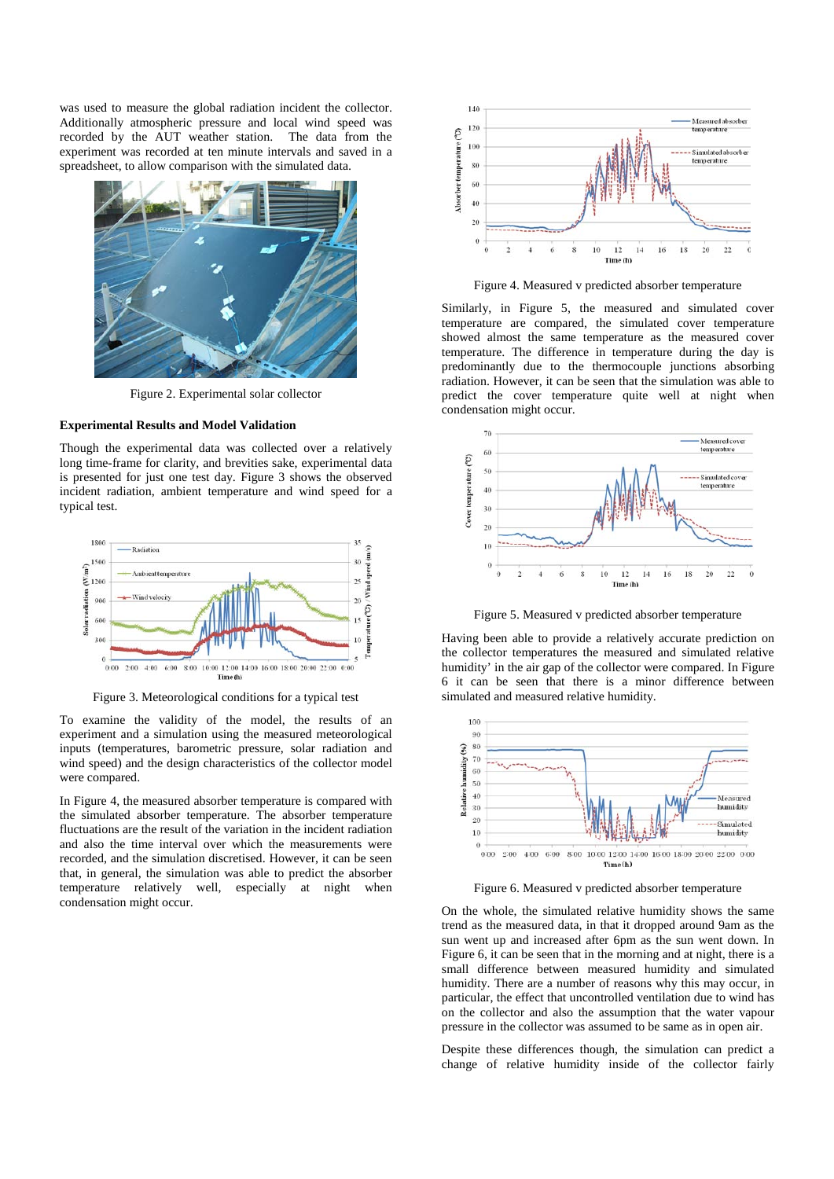was used to measure the global radiation incident the collector. Additionally atmospheric pressure and local wind speed was recorded by the AUT weather station. The data from the experiment was recorded at ten minute intervals and saved in a spreadsheet, to allow comparison with the simulated data.



Figure 2. Experimental solar collector

## **Experimental Results and Model Validation**

Though the experimental data was collected over a relatively long time-frame for clarity, and brevities sake, experimental data is presented for just one test day. Figure 3 shows the observed incident radiation, ambient temperature and wind speed for a typical test.



Figure 3. Meteorological conditions for a typical test

To examine the validity of the model, the results of an experiment and a simulation using the measured meteorological inputs (temperatures, barometric pressure, solar radiation and wind speed) and the design characteristics of the collector model were compared.

In Figure 4, the measured absorber temperature is compared with the simulated absorber temperature. The absorber temperature fluctuations are the result of the variation in the incident radiation and also the time interval over which the measurements were recorded, and the simulation discretised. However, it can be seen that, in general, the simulation was able to predict the absorber temperature relatively well, especially at night when condensation might occur.

![](_page_3_Figure_9.jpeg)

Figure 4. Measured v predicted absorber temperature

Similarly, in Figure 5, the measured and simulated cover temperature are compared, the simulated cover temperature showed almost the same temperature as the measured cover temperature. The difference in temperature during the day is predominantly due to the thermocouple junctions absorbing radiation. However, it can be seen that the simulation was able to predict the cover temperature quite well at night when condensation might occur.

![](_page_3_Figure_12.jpeg)

Figure 5. Measured v predicted absorber temperature

Having been able to provide a relatively accurate prediction on the collector temperatures the measured and simulated relative humidity' in the air gap of the collector were compared. In Figure 6 it can be seen that there is a minor difference between simulated and measured relative humidity.

![](_page_3_Figure_15.jpeg)

Figure 6. Measured v predicted absorber temperature

On the whole, the simulated relative humidity shows the same trend as the measured data, in that it dropped around 9am as the sun went up and increased after 6pm as the sun went down. In Figure 6, it can be seen that in the morning and at night, there is a small difference between measured humidity and simulated humidity. There are a number of reasons why this may occur, in particular, the effect that uncontrolled ventilation due to wind has on the collector and also the assumption that the water vapour pressure in the collector was assumed to be same as in open air.

Despite these differences though, the simulation can predict a change of relative humidity inside of the collector fairly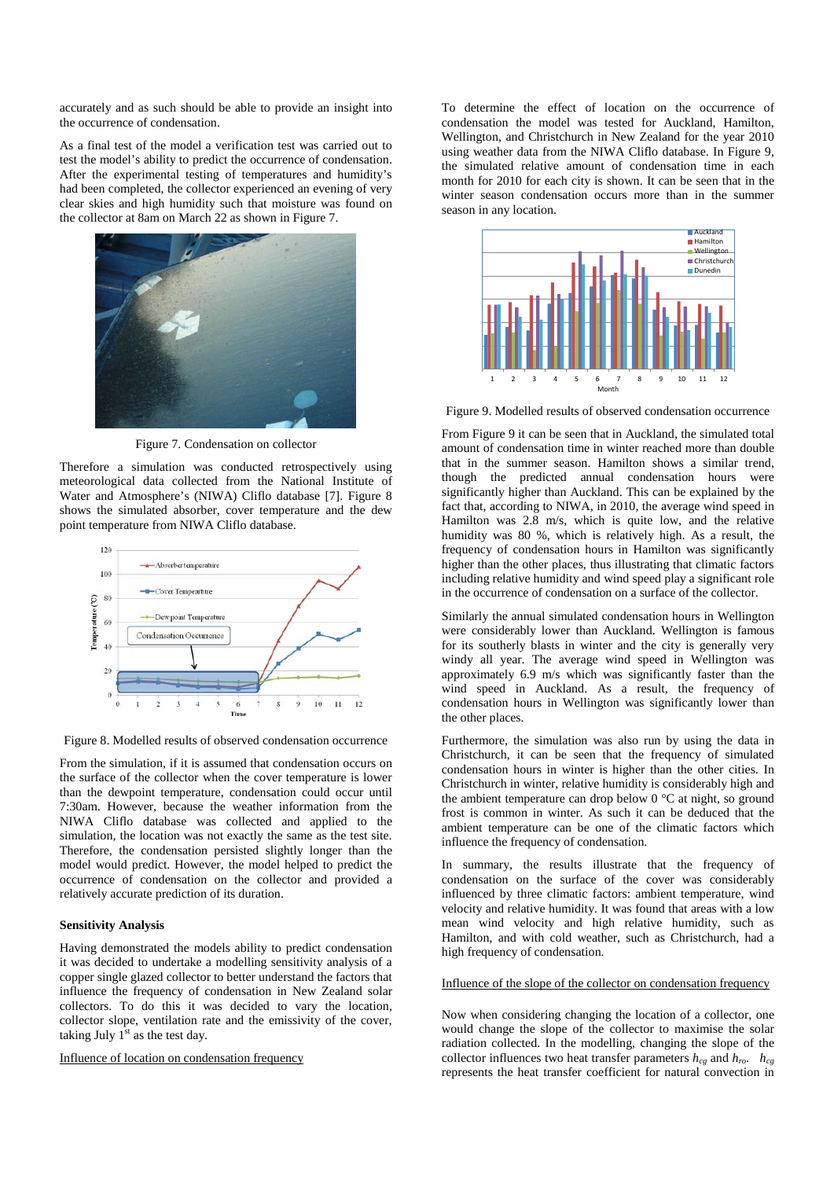accurately and as such should be able to provide an insight into the occurrence of condensation.

As a final test of the model a verification test was carried out to test the model's ability to predict the occurrence of condensation. After the experimental testing of temperatures and humidity's had been completed, the collector experienced an evening of very clear skies and high humidity such that moisture was found on the collector at 8am on March 22 as shown in Figure 7.

![](_page_4_Picture_2.jpeg)

Figure 7. Condensation on collector

Therefore a simulation was conducted retrospectively using meteorological data collected from the National Institute of Water and Atmosphere's (NIWA) Cliflo database [7]. Figure 8 shows the simulated absorber, cover temperature and the dew point temperature from NIWA Cliflo database.

![](_page_4_Figure_5.jpeg)

Figure 8. Modelled results of observed condensation occurrence

From the simulation, if it is assumed that condensation occurs on the surface of the collector when the cover temperature is lower than the dewpoint temperature, condensation could occur until 7:30am. However, because the weather information from the NIWA Cliflo database was collected and applied to the simulation, the location was not exactly the same as the test site. Therefore, the condensation persisted slightly longer than the model would predict. However, the model helped to predict the occurrence of condensation on the collector and provided a relatively accurate prediction of its duration.

## **Sensitivity Analysis**

Having demonstrated the models ability to predict condensation it was decided to undertake a modelling sensitivity analysis of a copper single glazed collector to better understand the factors that influence the frequency of condensation in New Zealand solar collectors. To do this it was decided to vary the location, collector slope, ventilation rate and the emissivity of the cover, taking July  $1<sup>st</sup>$  as the test day.

Influence of location on condensation frequency

To determine the effect of location on the occurrence of condensation the model was tested for Auckland, Hamilton, Wellington, and Christchurch in New Zealand for the year 2010 using weather data from the NIWA Cliflo database. In Figure 9, the simulated relative amount of condensation time in each month for 2010 for each city is shown. It can be seen that in the winter season condensation occurs more than in the summer season in any location.

![](_page_4_Figure_12.jpeg)

Figure 9. Modelled results of observed condensation occurrence

From Figure 9 it can be seen that in Auckland, the simulated total amount of condensation time in winter reached more than double that in the summer season. Hamilton shows a similar trend, though the predicted annual condensation hours were significantly higher than Auckland. This can be explained by the fact that, according to NIWA, in 2010, the average wind speed in Hamilton was 2.8 m/s, which is quite low, and the relative humidity was 80 %, which is relatively high. As a result, the frequency of condensation hours in Hamilton was significantly higher than the other places, thus illustrating that climatic factors including relative humidity and wind speed play a significant role in the occurrence of condensation on a surface of the collector.

Similarly the annual simulated condensation hours in Wellington were considerably lower than Auckland. Wellington is famous for its southerly blasts in winter and the city is generally very windy all year. The average wind speed in Wellington was approximately 6.9 m/s which was significantly faster than the wind speed in Auckland. As a result, the frequency of condensation hours in Wellington was significantly lower than the other places.

Furthermore, the simulation was also run by using the data in Christchurch, it can be seen that the frequency of simulated condensation hours in winter is higher than the other cities. In Christchurch in winter, relative humidity is considerably high and the ambient temperature can drop below  $0^{\circ}$ C at night, so ground frost is common in winter. As such it can be deduced that the ambient temperature can be one of the climatic factors which influence the frequency of condensation.

In summary, the results illustrate that the frequency of condensation on the surface of the cover was considerably influenced by three climatic factors: ambient temperature, wind velocity and relative humidity. It was found that areas with a low mean wind velocity and high relative humidity, such as Hamilton, and with cold weather, such as Christchurch, had a high frequency of condensation.

## Influence of the slope of the collector on condensation frequency

Now when considering changing the location of a collector, one would change the slope of the collector to maximise the solar radiation collected. In the modelling, changing the slope of the collector influences two heat transfer parameters  $h_{cg}$  and  $h_{ro}$ .  $h_{cg}$ represents the heat transfer coefficient for natural convection in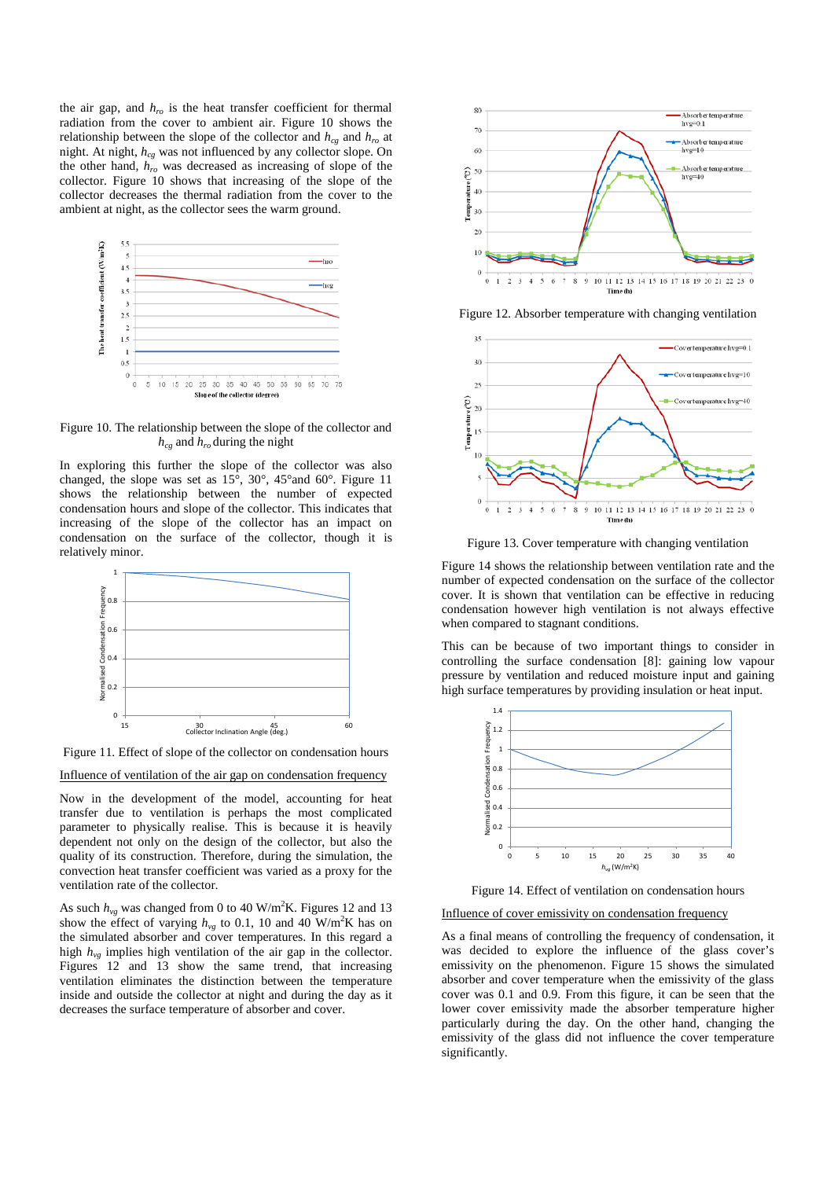the air gap, and  $h_{ro}$  is the heat transfer coefficient for thermal radiation from the cover to ambient air. Figure 10 shows the relationship between the slope of the collector and  $h_{cg}$  and  $h_{ro}$  at night. At night,  $h_{ce}$  was not influenced by any collector slope. On the other hand, *hro* was decreased as increasing of slope of the collector. Figure 10 shows that increasing of the slope of the collector decreases the thermal radiation from the cover to the ambient at night, as the collector sees the warm ground.

![](_page_5_Figure_1.jpeg)

Figure 10. The relationship between the slope of the collector and *hcg* and *hro* during the night

In exploring this further the slope of the collector was also changed, the slope was set as 15°, 30°, 45°and 60°. Figure 11 shows the relationship between the number of expected condensation hours and slope of the collector. This indicates that increasing of the slope of the collector has an impact on condensation on the surface of the collector, though it is relatively minor.

![](_page_5_Figure_4.jpeg)

Figure 11. Effect of slope of the collector on condensation hours

Influence of ventilation of the air gap on condensation frequency

Now in the development of the model, accounting for heat transfer due to ventilation is perhaps the most complicated parameter to physically realise. This is because it is heavily dependent not only on the design of the collector, but also the quality of its construction. Therefore, during the simulation, the convection heat transfer coefficient was varied as a proxy for the ventilation rate of the collector.

As such  $h_{vg}$  was changed from 0 to 40 W/m<sup>2</sup>K. Figures 12 and 13 show the effect of varying  $h_{vg}$  to 0.1, 10 and 40 W/m<sup>2</sup>K has on the simulated absorber and cover temperatures. In this regard a high  $h_{vg}$  implies high ventilation of the air gap in the collector. Figures 12 and 13 show the same trend, that increasing ventilation eliminates the distinction between the temperature inside and outside the collector at night and during the day as it decreases the surface temperature of absorber and cover.

![](_page_5_Figure_9.jpeg)

Figure 12. Absorber temperature with changing ventilation

![](_page_5_Figure_11.jpeg)

Figure 13. Cover temperature with changing ventilation

Figure 14 shows the relationship between ventilation rate and the number of expected condensation on the surface of the collector cover. It is shown that ventilation can be effective in reducing condensation however high ventilation is not always effective when compared to stagnant conditions.

This can be because of two important things to consider in controlling the surface condensation [8]: gaining low vapour pressure by ventilation and reduced moisture input and gaining high surface temperatures by providing insulation or heat input.

![](_page_5_Figure_15.jpeg)

Figure 14. Effect of ventilation on condensation hours

#### Influence of cover emissivity on condensation frequency

As a final means of controlling the frequency of condensation, it was decided to explore the influence of the glass cover's emissivity on the phenomenon. Figure 15 shows the simulated absorber and cover temperature when the emissivity of the glass cover was 0.1 and 0.9. From this figure, it can be seen that the lower cover emissivity made the absorber temperature higher particularly during the day. On the other hand, changing the emissivity of the glass did not influence the cover temperature significantly.